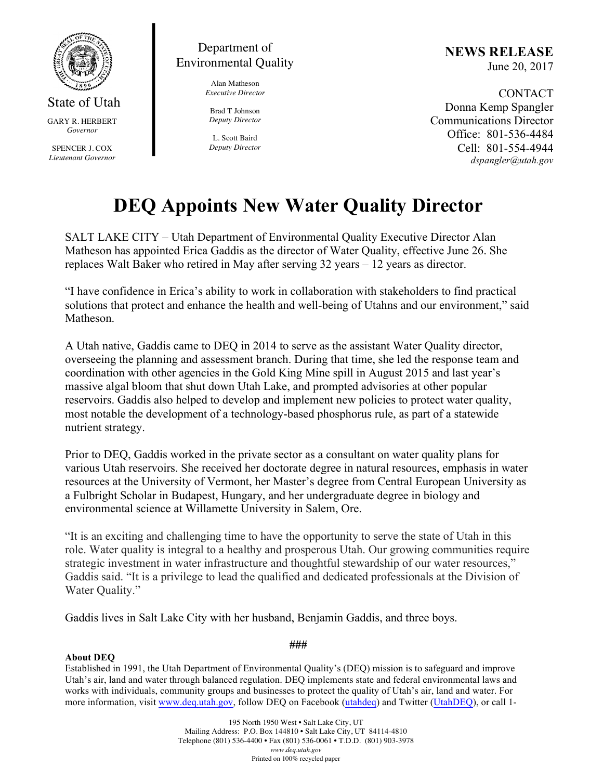

State of Utah GARY R. HERBERT *Governor*

SPENCER J. COX *Lieutenant Governor*



Alan Matheson *Executive Director*

Brad T Johnson *Deputy Director*

L. Scott Baird *Deputy Director* **NEWS RELEASE** June 20, 2017

CONTACT Donna Kemp Spangler Communications Director Office: 801-536-4484 Cell: 801-554-4944 *dspangler@utah.gov*

## **DEQ Appoints New Water Quality Director**

SALT LAKE CITY – Utah Department of Environmental Quality Executive Director Alan Matheson has appointed Erica Gaddis as the director of Water Quality, effective June 26. She replaces Walt Baker who retired in May after serving 32 years – 12 years as director.

"I have confidence in Erica's ability to work in collaboration with stakeholders to find practical solutions that protect and enhance the health and well-being of Utahns and our environment," said Matheson.

A Utah native, Gaddis came to DEQ in 2014 to serve as the assistant Water Quality director, overseeing the planning and assessment branch. During that time, she led the response team and coordination with other agencies in the Gold King Mine spill in August 2015 and last year's massive algal bloom that shut down Utah Lake, and prompted advisories at other popular reservoirs. Gaddis also helped to develop and implement new policies to protect water quality, most notable the development of a technology-based phosphorus rule, as part of a statewide nutrient strategy.

Prior to DEQ, Gaddis worked in the private sector as a consultant on water quality plans for various Utah reservoirs. She received her doctorate degree in natural resources, emphasis in water resources at the University of Vermont, her Master's degree from Central European University as a Fulbright Scholar in Budapest, Hungary, and her undergraduate degree in biology and environmental science at Willamette University in Salem, Ore.

"It is an exciting and challenging time to have the opportunity to serve the state of Utah in this role. Water quality is integral to a healthy and prosperous Utah. Our growing communities require strategic investment in water infrastructure and thoughtful stewardship of our water resources," Gaddis said. "It is a privilege to lead the qualified and dedicated professionals at the Division of Water Ouality."

Gaddis lives in Salt Lake City with her husband, Benjamin Gaddis, and three boys.

## **About DEQ**

Established in 1991, the Utah Department of Environmental Quality's (DEQ) mission is to safeguard and improve Utah's air, land and water through balanced regulation. DEQ implements state and federal environmental laws and works with individuals, community groups and businesses to protect the quality of Utah's air, land and water. For more information, visit www.deq.utah.gov, follow DEQ on Facebook (utahdeq) and Twitter (UtahDEQ), or call 1-

**###**